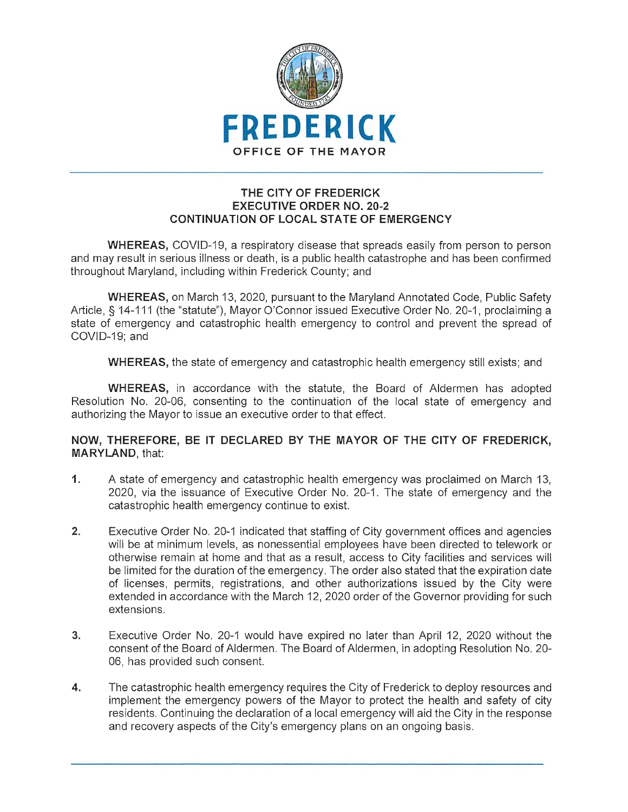

## **THE CITY OF FREDERICK EXECUTIVE ORDER NO. 20-2 CONTINUATION OF LOCAL STATE OF EMERGENCY**

**WHEREAS,** COVID-19, a respiratory disease that spreads easily from person to person and may result in serious illness or death, is a public health catastrophe and has been confirmed throughout Maryland, including within Frederick County; and

**WHEREAS,** on March 13, 2020, pursuant to the Maryland Annotated Code, Public Safety Article, § 14-111 (the "statute"), Mayor O'Connor issued Executive Order No. 20-1, proclaiming a state of emergency and catastrophic health emergency to control and prevent the spread of COVID-19; and

**WHEREAS,** the state of emergency and catastrophic health emergency still exists; and

**WHEREAS,** in accordance with the statute, the Board of Aldermen has adopted Resolution No. 20-06, consenting to the continuation of the local state of emergency and authorizing the Mayor to issue an executive order to that effect.

## **NOW, THEREFORE, BE IT DECLARED BY THE MAYOR OF THE CITY OF FREDERICK, MARYLAND,** that:

- **1.** A state of emergency and catastrophic health emergency was proclaimed on March 13, 2020, via the issuance of Executive Order No. 20-1 . The state of emergency and the catastrophic health emergency continue to exist.
- **2.** Executive Order No. 20-1 indicated that staffing of City government offices and agencies will be at minimum levels, as nonessential employees have been directed to telework or otherwise remain at home and that as a result, access to City facilities and services will be limited for the duration of the emergency. The order also stated that the expiration date of licenses, permits, registrations, and other authorizations issued by the City were extended in accordance with the March 12, 2020 order of the Governor providing for such extensions.
- 3. Executive Order No. 20-1 would have expired no later than April 12, 2020 without the consent of the Board of Aldermen. The Board of Aldermen, in adopting Resolution No. 20- 06, has provided such consent.
- **4.** The catastrophic health emergency requires the City of Frederick to deploy resources and implement the emergency powers of the Mayor to protect the health and safety of city residents. Continuing the declaration of a local emergency will aid the City in the response and recovery aspects of the City's emergency plans on an ongoing basis.